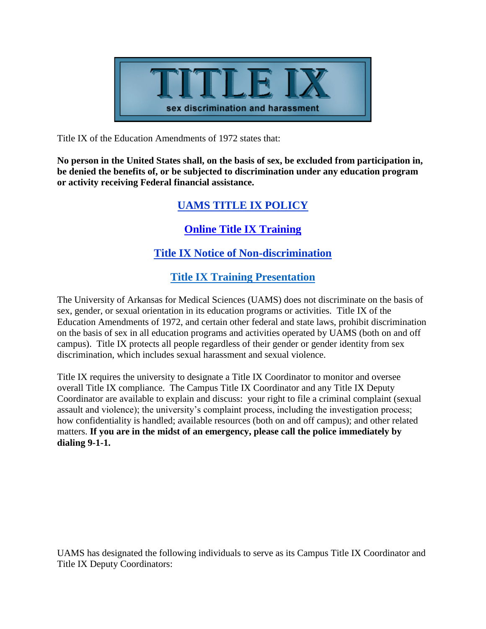

Title IX of the Education Amendments of 1972 states that:

**No person in the United States shall, on the basis of sex, be excluded from participation in, be denied the benefits of, or be subjected to discrimination under any education program or activity receiving Federal financial assistance.**

## **[UAMS TITLE IX POLICY](https://hr.uams.edu/employee-relations/wp-content/uploads/sites/2/2020/11/3-1-48-Title-IX-2020.pdf)**

#### **[Online Title IX Training](https://uams.sumtotal.host/core/pillarRedirect?relyingParty=LM&url=app%2Fmanagement%2FLMS_ActDetails.aspx%3FActivityId%3D599%26UserMode%3D0)**

## **[Title IX Notice of Non-discrimination](http://uams-human-resources.flywheelsites.com/employee-relations/wp-content/uploads/sites/2/2020/08/Title-IX-Notice-of-Nondiscrimination-Revised-May-2019.pdf)**

## **[Title IX Training Presentation](http://uams-human-resources.flywheelsites.com/employee-relations/wp-content/uploads/sites/2/2020/08/Title-IX-Training-Presentation_UA-System-Office.pdf)**

The University of Arkansas for Medical Sciences (UAMS) does not discriminate on the basis of sex, gender, or sexual orientation in its education programs or activities. Title IX of the Education Amendments of 1972, and certain other federal and state laws, prohibit discrimination on the basis of sex in all education programs and activities operated by UAMS (both on and off campus). Title IX protects all people regardless of their gender or gender identity from sex discrimination, which includes sexual harassment and sexual violence.

Title IX requires the university to designate a Title IX Coordinator to monitor and oversee overall Title IX compliance. The Campus Title IX Coordinator and any Title IX Deputy Coordinator are available to explain and discuss: your right to file a criminal complaint (sexual assault and violence); the university's complaint process, including the investigation process; how confidentiality is handled; available resources (both on and off campus); and other related matters. **If you are in the midst of an emergency, please call the police immediately by dialing 9-1-1.**

UAMS has designated the following individuals to serve as its Campus Title IX Coordinator and Title IX Deputy Coordinators: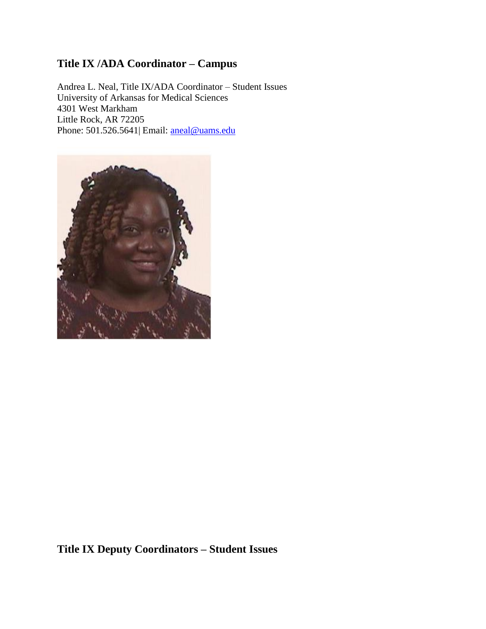# **Title IX /ADA Coordinator – Campus**

Andrea L. Neal, Title IX/ADA Coordinator – Student Issues University of Arkansas for Medical Sciences 4301 West Markham Little Rock, AR 72205 Phone: 501.526.5641| Email: [aneal@uams.edu](mailto:aneal@uams.edu)



**Title IX Deputy Coordinators – Student Issues**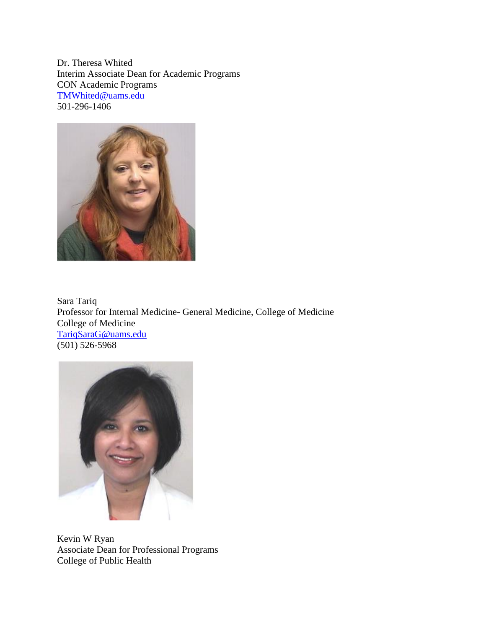Dr. Theresa Whited Interim Associate Dean for Academic Programs CON Academic Programs [TMWhited@uams.edu](mailto:TMWhited@uams.edu)  501-296-1406



Sara Tariq Professor for Internal Medicine- General Medicine, College of Medicine College of Medicine [TariqSaraG@uams.edu](mailto:TariqSaraG@uams.edu)  (501) 526-5968



Kevin W Ryan Associate Dean for Professional Programs College of Public Health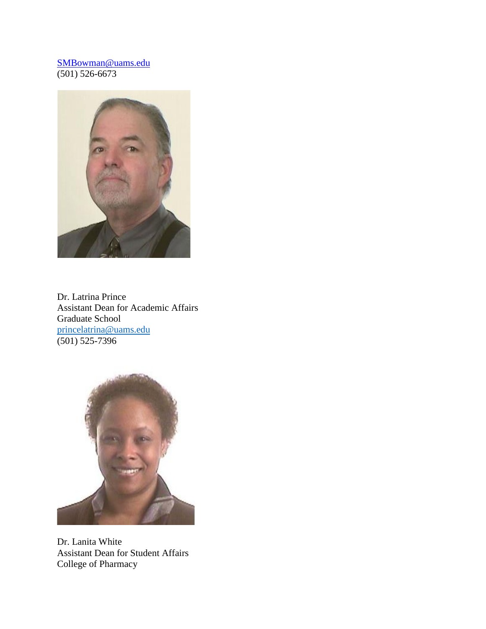#### [SMBowman@uams.edu](mailto:SMBowman@uams.edu)  (501) 526-6673



Dr. Latrina Prince Assistant Dean for Academic Affairs Graduate School [princelatrina@uams.edu](mailto:princelatrina@uams.edu)   $(501) 525 - 7396$ 



Dr. Lanita White Assistant Dean for Student Affairs College of Pharmacy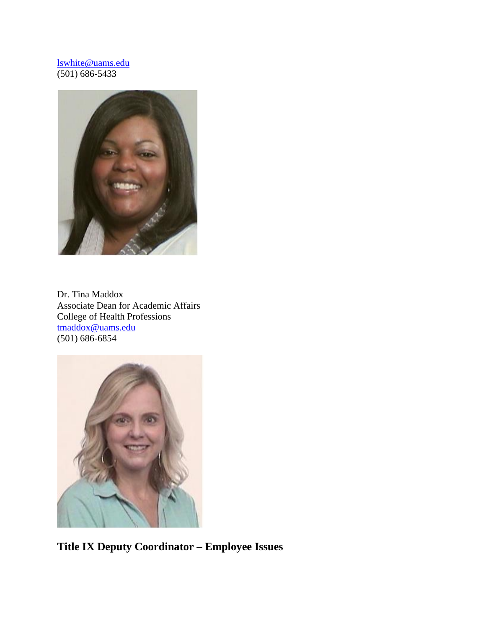#### [lswhite@uams.edu](mailto:lswhite@uams.edu)  (501) 686-5433



Dr. Tina Maddox Associate Dean for Academic Affairs College of Health Professions [tmaddox@uams.edu](mailto:tmaddox@uams.edu)  (501) 686-6854



**Title IX Deputy Coordinator – Employee Issues**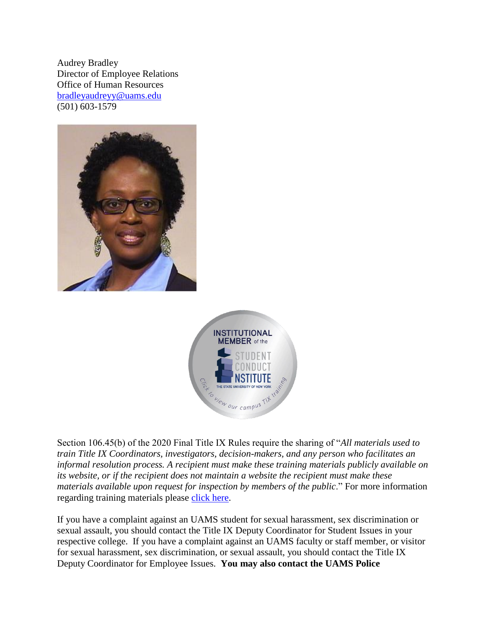Audrey Bradley Director of Employee Relations Office of Human Resources [bradleyaudreyy@uams.edu](mailto:bradleyaudreyy@uams.edu)  (501) 603-1579





Section 106.45(b) of the 2020 Final Title IX Rules require the sharing of "*All materials used to train Title IX Coordinators, investigators, decision-makers, and any person who facilitates an informal resolution process. A recipient must make these training materials publicly available on its website, or if the recipient does not maintain a website the recipient must make these materials available upon request for inspection by members of the public*." For more information regarding training materials please [click here.](https://system.suny.edu/sci/postedtraining/)

If you have a complaint against an UAMS student for sexual harassment, sex discrimination or sexual assault, you should contact the Title IX Deputy Coordinator for Student Issues in your respective college. If you have a complaint against an UAMS faculty or staff member, or visitor for sexual harassment, sex discrimination, or sexual assault, you should contact the Title IX Deputy Coordinator for Employee Issues. **You may also contact the UAMS Police**